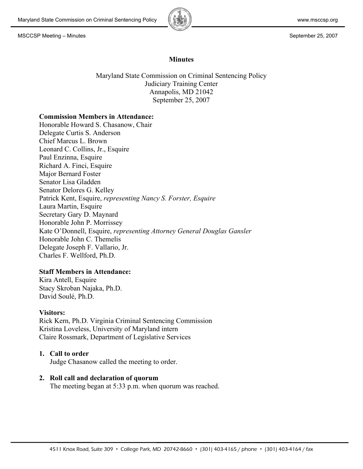

### **Minutes**

Maryland State Commission on Criminal Sentencing Policy Judiciary Training Center Annapolis, MD 21042 September 25, 2007

### **Commission Members in Attendance:**

Honorable Howard S. Chasanow, Chair Delegate Curtis S. Anderson Chief Marcus L. Brown Leonard C. Collins, Jr., Esquire Paul Enzinna, Esquire Richard A. Finci, Esquire Major Bernard Foster Senator Lisa Gladden Senator Delores G. Kelley Patrick Kent, Esquire, *representing Nancy S. Forster, Esquire* Laura Martin, Esquire Secretary Gary D. Maynard Honorable John P. Morrissey Kate O'Donnell, Esquire, *representing Attorney General Douglas Gansler* Honorable John C. Themelis Delegate Joseph F. Vallario, Jr. Charles F. Wellford, Ph.D.

# **Staff Members in Attendance:**

Kira Antell, Esquire Stacy Skroban Najaka, Ph.D. David Soulé, Ph.D.

### **Visitors:**

Rick Kern, Ph.D. Virginia Criminal Sentencing Commission Kristina Loveless, University of Maryland intern Claire Rossmark, Department of Legislative Services

### **1. Call to order**

Judge Chasanow called the meeting to order.

### **2. Roll call and declaration of quorum**

The meeting began at 5:33 p.m. when quorum was reached.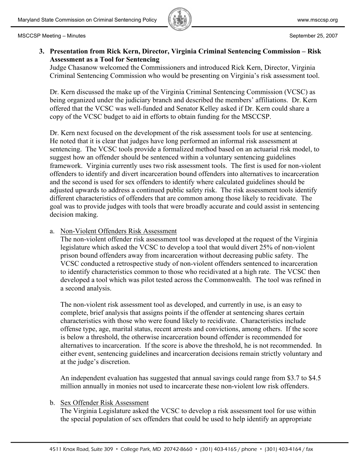

# **3. Presentation from Rick Kern, Director, Virginia Criminal Sentencing Commission – Risk Assessment as a Tool for Sentencing**

Judge Chasanow welcomed the Commissioners and introduced Rick Kern, Director, Virginia Criminal Sentencing Commission who would be presenting on Virginia's risk assessment tool.

Dr. Kern discussed the make up of the Virginia Criminal Sentencing Commission (VCSC) as being organized under the judiciary branch and described the members' affiliations. Dr. Kern offered that the VCSC was well-funded and Senator Kelley asked if Dr. Kern could share a copy of the VCSC budget to aid in efforts to obtain funding for the MSCCSP.

Dr. Kern next focused on the development of the risk assessment tools for use at sentencing. He noted that it is clear that judges have long performed an informal risk assessment at sentencing. The VCSC tools provide a formalized method based on an actuarial risk model, to suggest how an offender should be sentenced within a voluntary sentencing guidelines framework. Virginia currently uses two risk assessment tools. The first is used for non-violent offenders to identify and divert incarceration bound offenders into alternatives to incarceration and the second is used for sex offenders to identify where calculated guidelines should be adjusted upwards to address a continued public safety risk. The risk assessment tools identify different characteristics of offenders that are common among those likely to recidivate. The goal was to provide judges with tools that were broadly accurate and could assist in sentencing decision making.

# a. Non-Violent Offenders Risk Assessment

The non-violent offender risk assessment tool was developed at the request of the Virginia legislature which asked the VCSC to develop a tool that would divert 25% of non-violent prison bound offenders away from incarceration without decreasing public safety. The VCSC conducted a retrospective study of non-violent offenders sentenced to incarceration to identify characteristics common to those who recidivated at a high rate. The VCSC then developed a tool which was pilot tested across the Commonwealth. The tool was refined in a second analysis.

The non-violent risk assessment tool as developed, and currently in use, is an easy to complete, brief analysis that assigns points if the offender at sentencing shares certain characteristics with those who were found likely to recidivate. Characteristics include offense type, age, marital status, recent arrests and convictions, among others. If the score is below a threshold, the otherwise incarceration bound offender is recommended for alternatives to incarceration. If the score is above the threshold, he is not recommended. In either event, sentencing guidelines and incarceration decisions remain strictly voluntary and at the judge's discretion.

An independent evaluation has suggested that annual savings could range from \$3.7 to \$4.5 million annually in monies not used to incarcerate these non-violent low risk offenders.

# b. Sex Offender Risk Assessment

The Virginia Legislature asked the VCSC to develop a risk assessment tool for use within the special population of sex offenders that could be used to help identify an appropriate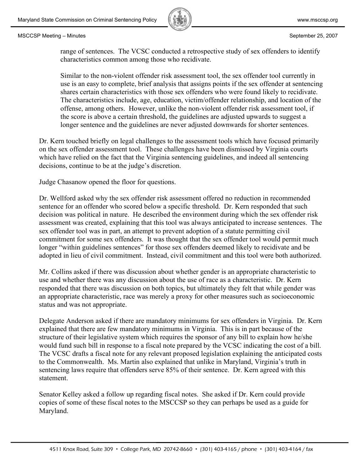

range of sentences. The VCSC conducted a retrospective study of sex offenders to identify characteristics common among those who recidivate.

Similar to the non-violent offender risk assessment tool, the sex offender tool currently in use is an easy to complete, brief analysis that assigns points if the sex offender at sentencing shares certain characteristics with those sex offenders who were found likely to recidivate. The characteristics include, age, education, victim/offender relationship, and location of the offense, among others. However, unlike the non-violent offender risk assessment tool, if the score is above a certain threshold, the guidelines are adjusted upwards to suggest a longer sentence and the guidelines are never adjusted downwards for shorter sentences.

Dr. Kern touched briefly on legal challenges to the assessment tools which have focused primarily on the sex offender assessment tool. These challenges have been dismissed by Virginia courts which have relied on the fact that the Virginia sentencing guidelines, and indeed all sentencing decisions, continue to be at the judge's discretion.

Judge Chasanow opened the floor for questions.

Dr. Wellford asked why the sex offender risk assessment offered no reduction in recommended sentence for an offender who scored below a specific threshold. Dr. Kern responded that such decision was political in nature. He described the environment during which the sex offender risk assessment was created, explaining that this tool was always anticipated to increase sentences. The sex offender tool was in part, an attempt to prevent adoption of a statute permitting civil commitment for some sex offenders. It was thought that the sex offender tool would permit much longer "within guidelines sentences" for those sex offenders deemed likely to recidivate and be adopted in lieu of civil commitment. Instead, civil commitment and this tool were both authorized.

Mr. Collins asked if there was discussion about whether gender is an appropriate characteristic to use and whether there was any discussion about the use of race as a characteristic. Dr. Kern responded that there was discussion on both topics, but ultimately they felt that while gender was an appropriate characteristic, race was merely a proxy for other measures such as socioeconomic status and was not appropriate.

Delegate Anderson asked if there are mandatory minimums for sex offenders in Virginia. Dr. Kern explained that there are few mandatory minimums in Virginia. This is in part because of the structure of their legislative system which requires the sponsor of any bill to explain how he/she would fund such bill in response to a fiscal note prepared by the VCSC indicating the cost of a bill. The VCSC drafts a fiscal note for any relevant proposed legislation explaining the anticipated costs to the Commonwealth. Ms. Martin also explained that unlike in Maryland, Virginia's truth in sentencing laws require that offenders serve 85% of their sentence. Dr. Kern agreed with this statement.

Senator Kelley asked a follow up regarding fiscal notes. She asked if Dr. Kern could provide copies of some of these fiscal notes to the MSCCSP so they can perhaps be used as a guide for Maryland.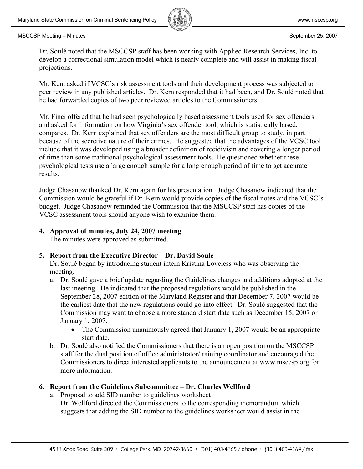

Dr. Soulé noted that the MSCCSP staff has been working with Applied Research Services, Inc. to develop a correctional simulation model which is nearly complete and will assist in making fiscal projections.

Mr. Kent asked if VCSC's risk assessment tools and their development process was subjected to peer review in any published articles. Dr. Kern responded that it had been, and Dr. Soulé noted that he had forwarded copies of two peer reviewed articles to the Commissioners.

Mr. Finci offered that he had seen psychologically based assessment tools used for sex offenders and asked for information on how Virginia's sex offender tool, which is statistically based, compares. Dr. Kern explained that sex offenders are the most difficult group to study, in part because of the secretive nature of their crimes. He suggested that the advantages of the VCSC tool include that it was developed using a broader definition of recidivism and covering a longer period of time than some traditional psychological assessment tools. He questioned whether these psychological tests use a large enough sample for a long enough period of time to get accurate results.

Judge Chasanow thanked Dr. Kern again for his presentation. Judge Chasanow indicated that the Commission would be grateful if Dr. Kern would provide copies of the fiscal notes and the VCSC's budget. Judge Chasanow reminded the Commission that the MSCCSP staff has copies of the VCSC assessment tools should anyone wish to examine them.

## **4. Approval of minutes, July 24, 2007 meeting**

The minutes were approved as submitted.

# **5. Report from the Executive Director – Dr. David Soulé**

Dr. Soulé began by introducing student intern Kristina Loveless who was observing the meeting.

- a. Dr. Soulé gave a brief update regarding the Guidelines changes and additions adopted at the last meeting. He indicated that the proposed regulations would be published in the September 28, 2007 edition of the Maryland Register and that December 7, 2007 would be the earliest date that the new regulations could go into effect. Dr. Soulé suggested that the Commission may want to choose a more standard start date such as December 15, 2007 or January 1, 2007.
	- The Commission unanimously agreed that January 1, 2007 would be an appropriate start date.
- b. Dr. Soulé also notified the Commissioners that there is an open position on the MSCCSP staff for the dual position of office administrator/training coordinator and encouraged the Commissioners to direct interested applicants to the announcement at www.msccsp.org for more information.

# **6. Report from the Guidelines Subcommittee – Dr. Charles Wellford**

a. Proposal to add SID number to guidelines worksheet

Dr. Wellford directed the Commissioners to the corresponding memorandum which suggests that adding the SID number to the guidelines worksheet would assist in the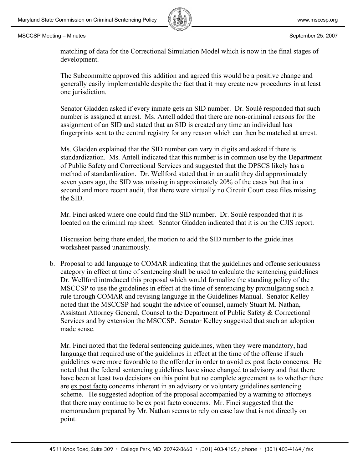

matching of data for the Correctional Simulation Model which is now in the final stages of development.

The Subcommitte approved this addition and agreed this would be a positive change and generally easily implementable despite the fact that it may create new procedures in at least one jurisdiction.

Senator Gladden asked if every inmate gets an SID number. Dr. Soulé responded that such number is assigned at arrest. Ms. Antell added that there are non-criminal reasons for the assignment of an SID and stated that an SID is created any time an individual has fingerprints sent to the central registry for any reason which can then be matched at arrest.

Ms. Gladden explained that the SID number can vary in digits and asked if there is standardization. Ms. Antell indicated that this number is in common use by the Department of Public Safety and Correctional Services and suggested that the DPSCS likely has a method of standardization. Dr. Wellford stated that in an audit they did approximately seven years ago, the SID was missing in approximately 20% of the cases but that in a second and more recent audit, that there were virtually no Circuit Court case files missing the SID.

Mr. Finci asked where one could find the SID number. Dr. Soulé responded that it is located on the criminal rap sheet. Senator Gladden indicated that it is on the CJIS report.

Discussion being there ended, the motion to add the SID number to the guidelines worksheet passed unanimously.

b. Proposal to add language to COMAR indicating that the guidelines and offense seriousness category in effect at time of sentencing shall be used to calculate the sentencing guidelines Dr. Wellford introduced this proposal which would formalize the standing policy of the MSCCSP to use the guidelines in effect at the time of sentencing by promulgating such a rule through COMAR and revising language in the Guidelines Manual. Senator Kelley noted that the MSCCSP had sought the advice of counsel, namely Stuart M. Nathan, Assistant Attorney General, Counsel to the Department of Public Safety & Correctional Services and by extension the MSCCSP. Senator Kelley suggested that such an adoption made sense.

Mr. Finci noted that the federal sentencing guidelines, when they were mandatory, had language that required use of the guidelines in effect at the time of the offense if such guidelines were more favorable to the offender in order to avoid ex post facto concerns. He noted that the federal sentencing guidelines have since changed to advisory and that there have been at least two decisions on this point but no complete agreement as to whether there are ex post facto concerns inherent in an advisory or voluntary guidelines sentencing scheme. He suggested adoption of the proposal accompanied by a warning to attorneys that there may continue to be ex post facto concerns. Mr. Finci suggested that the memorandum prepared by Mr. Nathan seems to rely on case law that is not directly on point.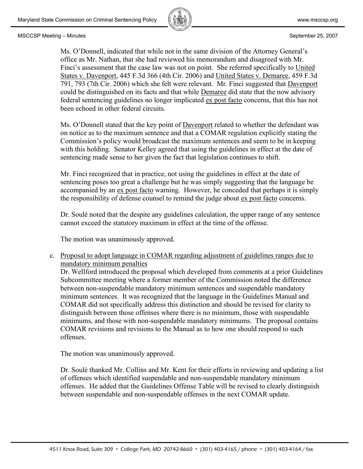

Ms. O'Donnell, indicated that while not in the same division of the Attorney General's office as Mr. Nathan, that she had reviewed his memorandum and disagreed with Mr. Finci's assessment that the case law was not on point. She referred specifically to United States v. Davenport, 445 F.3d 366 (4th Cir. 2006) and United States v. Demaree, 459 F.3d 791, 793 (7th Cir. 2006) which she felt were relevant. Mr. Finci suggested that Davenport could be distinguished on its facts and that while Demaree did state that the now advisory federal sentencing guidelines no longer implicated ex post facto concerns, that this has not been echoed in other federal circuits.

Ms. O'Donnell stated that the key point of **Davenport** related to whether the defendant was on notice as to the maximum sentence and that a COMAR regulation explicitly stating the Commission's policy would broadcast the maximum sentences and seem to be in keeping with this holding. Senator Kelley agreed that using the guidelines in effect at the date of sentencing made sense to her given the fact that legislation continues to shift.

Mr. Finci recognized that in practice, not using the guidelines in effect at the date of sentencing poses too great a challenge but he was simply suggesting that the language be accompanied by an ex post facto warning. However, he conceded that perhaps it is simply the responsibility of defense counsel to remind the judge about ex post facto concerns.

Dr. Soulé noted that the despite any guidelines calculation, the upper range of any sentence cannot exceed the statutory maximum in effect at the time of the offense.

The motion was unanimously approved.

c. Proposal to adopt language in COMAR regarding adjustment of guidelines ranges due to mandatory minimum penalties

Dr. Wellford introduced the proposal which developed from comments at a prior Guidelines Subcommittee meeting where a former member of the Commission noted the difference between non-suspendable mandatory minimum sentences and suspendable mandatory minimum sentences. It was recognized that the language in the Guidelines Manual and COMAR did not specifically address this distinction and should be revised for clarity to distinguish between those offenses where there is no minimum, those with suspendable minimums, and those with non-suspendable mandatory minimums. The proposal contains COMAR revisions and revisions to the Manual as to how one should respond to such offenses.

The motion was unanimously approved.

Dr. Soulé thanked Mr. Collins and Mr. Kent for their efforts in reviewing and updating a list of offenses which identified suspendable and non-suspendable mandatory minimum offenses. He added that the Guidelines Offense Table will be revised to clearly distinguish between suspendable and non-suspendable offenses in the next COMAR update.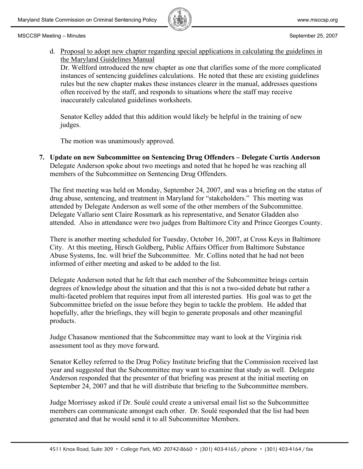

d. Proposal to adopt new chapter regarding special applications in calculating the guidelines in the Maryland Guidelines Manual

Dr. Wellford introduced the new chapter as one that clarifies some of the more complicated instances of sentencing guidelines calculations. He noted that these are existing guidelines rules but the new chapter makes these instances clearer in the manual, addresses questions often received by the staff, and responds to situations where the staff may receive inaccurately calculated guidelines worksheets.

Senator Kelley added that this addition would likely be helpful in the training of new judges.

The motion was unanimously approved.

**7. Update on new Subcommittee on Sentencing Drug Offenders – Delegate Curtis Anderson** Delegate Anderson spoke about two meetings and noted that he hoped he was reaching all members of the Subcommittee on Sentencing Drug Offenders.

The first meeting was held on Monday, September 24, 2007, and was a briefing on the status of drug abuse, sentencing, and treatment in Maryland for "stakeholders." This meeting was attended by Delegate Anderson as well some of the other members of the Subcommittee. Delegate Vallario sent Claire Rossmark as his representative, and Senator Gladden also attended. Also in attendance were two judges from Baltimore City and Prince Georges County.

There is another meeting scheduled for Tuesday, October 16, 2007, at Cross Keys in Baltimore City. At this meeting, Hirsch Goldberg, Public Affairs Officer from Baltimore Substance Abuse Systems, Inc. will brief the Subcommittee. Mr. Collins noted that he had not been informed of either meeting and asked to be added to the list.

Delegate Anderson noted that he felt that each member of the Subcommittee brings certain degrees of knowledge about the situation and that this is not a two-sided debate but rather a multi-faceted problem that requires input from all interested parties. His goal was to get the Subcommittee briefed on the issue before they begin to tackle the problem. He added that hopefully, after the briefings, they will begin to generate proposals and other meaningful products.

Judge Chasanow mentioned that the Subcommittee may want to look at the Virginia risk assessment tool as they move forward.

Senator Kelley referred to the Drug Policy Institute briefing that the Commission received last year and suggested that the Subcommittee may want to examine that study as well. Delegate Anderson responded that the presenter of that briefing was present at the initial meeting on September 24, 2007 and that he will distribute that briefing to the Subcommittee members.

Judge Morrissey asked if Dr. Soulé could create a universal email list so the Subcommittee members can communicate amongst each other. Dr. Soulé responded that the list had been generated and that he would send it to all Subcommittee Members.